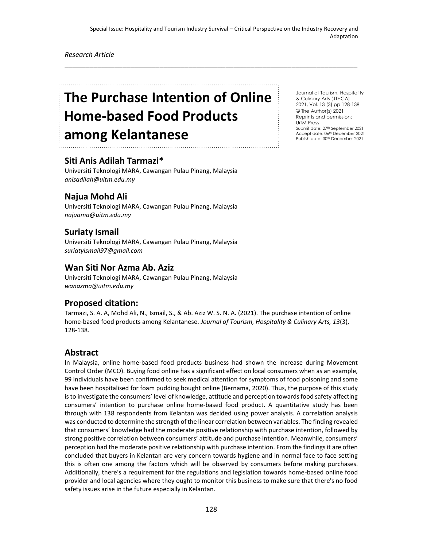\_\_\_\_\_\_\_\_\_\_\_\_\_\_\_\_\_\_\_\_\_\_\_\_\_\_\_\_\_\_\_\_\_\_\_\_\_\_\_\_\_\_\_\_\_\_\_\_\_\_\_\_\_\_\_\_\_\_\_\_\_\_\_\_\_\_\_\_\_\_\_

*Research Article*

# **The Purchase Intention of Online Home-based Food Products among Kelantanese**

# **Siti Anis Adilah Tarmazi\***

Universiti Teknologi MARA, Cawangan Pulau Pinang, Malaysia *anisadilah@uitm.edu.my*

## **Najua Mohd Ali**

Universiti Teknologi MARA, Cawangan Pulau Pinang, Malaysia *najuama@uitm.edu.my*

## **Suriaty Ismail**

Universiti Teknologi MARA, Cawangan Pulau Pinang, Malaysia *suriatyismail97@gmail.com*

### **Wan Siti Nor Azma Ab. Aziz**

Universiti Teknologi MARA, Cawangan Pulau Pinang, Malaysia *wanazma@uitm.edu.my*

## **Proposed citation:**

Tarmazi, S. A. A, Mohd Ali, N., Ismail, S., & Ab. Aziz W. S. N. A. (2021). The purchase intention of online home-based food products among Kelantanese. *Journal of Tourism, Hospitality & Culinary Arts, 13*(3), 128-138.

## **Abstract**

In Malaysia, online home-based food products business had shown the increase during Movement Control Order (MCO). Buying food online has a significant effect on local consumers when as an example, 99 individuals have been confirmed to seek medical attention for symptoms of food poisoning and some have been hospitalised for foam pudding bought online (Bernama, 2020). Thus, the purpose of this study is to investigate the consumers' level of knowledge, attitude and perception towards food safety affecting consumers' intention to purchase online home-based food product. A quantitative study has been through with 138 respondents from Kelantan was decided using power analysis. A correlation analysis was conducted to determine the strength of the linear correlation between variables. The finding revealed that consumers' knowledge had the moderate positive relationship with purchase intention, followed by strong positive correlation between consumers' attitude and purchase intention. Meanwhile, consumers' perception had the moderate positive relationship with purchase intention. From the findings it are often concluded that buyers in Kelantan are very concern towards hygiene and in normal face to face setting this is often one among the factors which will be observed by consumers before making purchases. Additionally, there's a requirement for the regulations and legislation towards home-based online food provider and local agencies where they ought to monitor this business to make sure that there's no food safety issues arise in the future especially in Kelantan.

Journal of Tourism, Hospitality & Culinary Arts (JTHCA) 2021, Vol. 13 (3) pp 128-138 © The Author(s) 2021 Reprints and permission: UiTM Press Submit date: 27th September 2021 Accept date: 06th December 2021 Publish date: 30th December 2021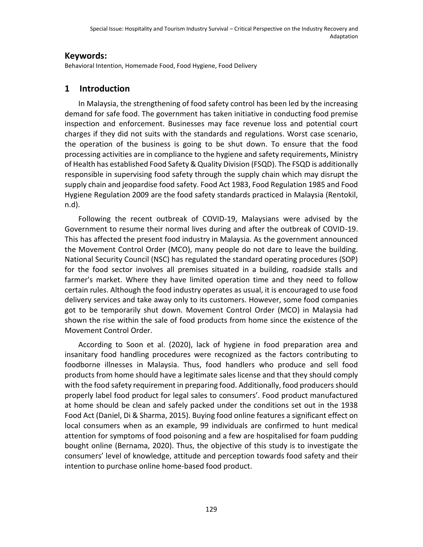## **Keywords:**

Behavioral Intention, Homemade Food, Food Hygiene, Food Delivery

# **1 Introduction**

In Malaysia, the strengthening of food safety control has been led by the increasing demand for safe food. The government has taken initiative in conducting food premise inspection and enforcement. Businesses may face revenue loss and potential court charges if they did not suits with the standards and regulations. Worst case scenario, the operation of the business is going to be shut down. To ensure that the food processing activities are in compliance to the hygiene and safety requirements, Ministry of Health has established Food Safety & Quality Division (FSQD). The FSQD is additionally responsible in supervising food safety through the supply chain which may disrupt the supply chain and jeopardise food safety. Food Act 1983, Food Regulation 1985 and Food Hygiene Regulation 2009 are the food safety standards practiced in Malaysia (Rentokil, n.d).

Following the recent outbreak of COVID-19, Malaysians were advised by the Government to resume their normal lives during and after the outbreak of COVID-19. This has affected the present food industry in Malaysia. As the government announced the Movement Control Order (MCO), many people do not dare to leave the building. National Security Council (NSC) has regulated the standard operating procedures (SOP) for the food sector involves all premises situated in a building, roadside stalls and farmer's market. Where they have limited operation time and they need to follow certain rules. Although the food industry operates as usual, it is encouraged to use food delivery services and take away only to its customers. However, some food companies got to be temporarily shut down. Movement Control Order (MCO) in Malaysia had shown the rise within the sale of food products from home since the existence of the Movement Control Order.

According to Soon et al. (2020), lack of hygiene in food preparation area and insanitary food handling procedures were recognized as the factors contributing to foodborne illnesses in Malaysia. Thus, food handlers who produce and sell food products from home should have a legitimate sales license and that they should comply with the food safety requirement in preparing food. Additionally, food producers should properly label food product for legal sales to consumers'. Food product manufactured at home should be clean and safely packed under the conditions set out in the 1938 Food Act (Daniel, Di & Sharma, 2015). Buying food online features a significant effect on local consumers when as an example, 99 individuals are confirmed to hunt medical attention for symptoms of food poisoning and a few are hospitalised for foam pudding bought online (Bernama, 2020). Thus, the objective of this study is to investigate the consumers' level of knowledge, attitude and perception towards food safety and their intention to purchase online home-based food product.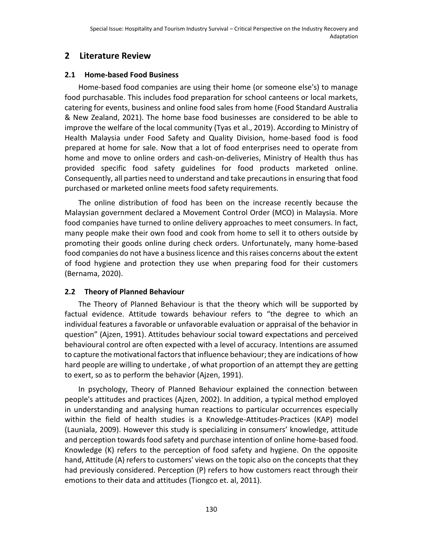# **2 Literature Review**

## **2.1 Home-based Food Business**

Home-based food companies are using their home (or someone else's) to manage food purchasable. This includes food preparation for school canteens or local markets, catering for events, business and online food sales from home (Food Standard Australia & New Zealand, 2021). The home base food businesses are considered to be able to improve the welfare of the local community (Tyas et al., 2019). According to Ministry of Health Malaysia under Food Safety and Quality Division, home-based food is food prepared at home for sale. Now that a lot of food enterprises need to operate from home and move to online orders and cash-on-deliveries, Ministry of Health thus has provided specific food safety guidelines for food products marketed online. Consequently, all parties need to understand and take precautions in ensuring that food purchased or marketed online meets food safety requirements.

The online distribution of food has been on the increase recently because the Malaysian government declared a Movement Control Order (MCO) in Malaysia. More food companies have turned to online delivery approaches to meet consumers. In fact, many people make their own food and cook from home to sell it to others outside by promoting their goods online during check orders. Unfortunately, many home-based food companies do not have a business licence and this raises concerns about the extent of food hygiene and protection they use when preparing food for their customers (Bernama, 2020).

## **2.2 Theory of Planned Behaviour**

The Theory of Planned Behaviour is that the theory which will be supported by factual evidence. Attitude towards behaviour refers to "the degree to which an individual features a favorable or unfavorable evaluation or appraisal of the behavior in question" (Ajzen, 1991). Attitudes behaviour social toward expectations and perceived behavioural control are often expected with a level of accuracy. Intentions are assumed to capture the motivational factors that influence behaviour; they are indications of how hard people are willing to undertake , of what proportion of an attempt they are getting to exert, so as to perform the behavior (Ajzen, 1991).

In psychology, Theory of Planned Behaviour explained the connection between people's attitudes and practices (Ajzen, 2002). In addition, a typical method employed in understanding and analysing human reactions to particular occurrences especially within the field of health studies is a Knowledge-Attitudes-Practices (KAP) model (Launiala, 2009). However this study is specializing in consumers' knowledge, attitude and perception towards food safety and purchase intention of online home-based food. Knowledge (K) refers to the perception of food safety and hygiene. On the opposite hand, Attitude (A) refers to customers' views on the topic also on the concepts that they had previously considered. Perception (P) refers to how customers react through their emotions to their data and attitudes (Tiongco et. al, 2011).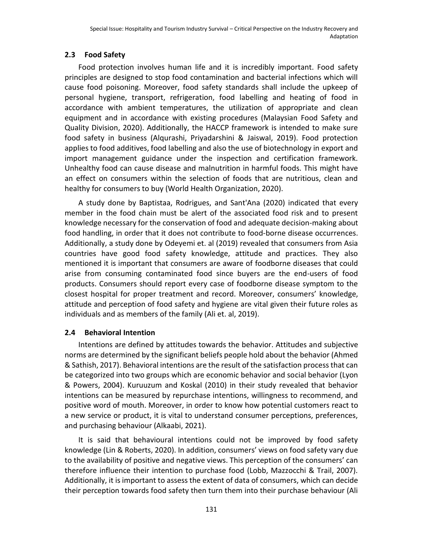# **2.3 Food Safety**

Food protection involves human life and it is incredibly important. Food safety principles are designed to stop food contamination and bacterial infections which will cause food poisoning. Moreover, food safety standards shall include the upkeep of personal hygiene, transport, refrigeration, food labelling and heating of food in accordance with ambient temperatures, the utilization of appropriate and clean equipment and in accordance with existing procedures (Malaysian Food Safety and Quality Division, 2020). Additionally, the HACCP framework is intended to make sure food safety in business (Alqurashi, Priyadarshini & Jaiswal, 2019). Food protection applies to food additives, food labelling and also the use of biotechnology in export and import management guidance under the inspection and certification framework. Unhealthy food can cause disease and malnutrition in harmful foods. This might have an effect on consumers within the selection of foods that are nutritious, clean and healthy for consumers to buy (World Health Organization, 2020).

A study done by Baptistaa, Rodrigues, and Sant'Ana (2020) indicated that every member in the food chain must be alert of the associated food risk and to present knowledge necessary for the conservation of food and adequate decision-making about food handling, in order that it does not contribute to food-borne disease occurrences. Additionally, a study done by Odeyemi et. al (2019) revealed that consumers from Asia countries have good food safety knowledge, attitude and practices. They also mentioned it is important that consumers are aware of foodborne diseases that could arise from consuming contaminated food since buyers are the end-users of food products. Consumers should report every case of foodborne disease symptom to the closest hospital for proper treatment and record. Moreover, consumers' knowledge, attitude and perception of food safety and hygiene are vital given their future roles as individuals and as members of the family (Ali et. al, 2019).

## **2.4 Behavioral Intention**

Intentions are defined by attitudes towards the behavior. Attitudes and subjective norms are determined by the significant beliefs people hold about the behavior (Ahmed & Sathish, 2017). Behavioral intentions are the result of the satisfaction process that can be categorized into two groups which are economic behavior and social behavior (Lyon & Powers, 2004). Kuruuzum and Koskal (2010) in their study revealed that behavior intentions can be measured by repurchase intentions, willingness to recommend, and positive word of mouth. Moreover, in order to know how potential customers react to a new service or product, it is vital to understand consumer perceptions, preferences, and purchasing behaviour (Alkaabi, 2021).

It is said that behavioural intentions could not be improved by food safety knowledge (Lin & Roberts, 2020). In addition, consumers' views on food safety vary due to the availability of positive and negative views. This perception of the consumers' can therefore influence their intention to purchase food (Lobb, Mazzocchi & Trail, 2007). Additionally, it is important to assess the extent of data of consumers, which can decide their perception towards food safety then turn them into their purchase behaviour (Ali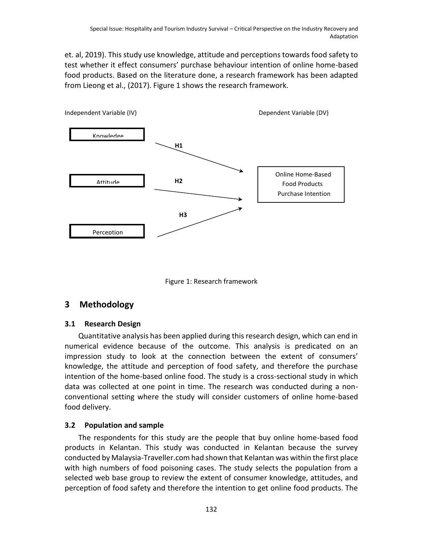et. al, 2019). This study use knowledge, attitude and perceptions towards food safety to test whether it effect consumers' purchase behaviour intention of online home-based food products. Based on the literature done, a research framework has been adapted from Lieong et al., (2017). Figure 1 shows the research framework.





# **3 Methodology**

#### **3.1 Research Design**

Quantitative analysis has been applied during this research design, which can end in numerical evidence because of the outcome. This analysis is predicated on an impression study to look at the connection between the extent of consumers' knowledge, the attitude and perception of food safety, and therefore the purchase intention of the home-based online food. The study is a cross-sectional study in which data was collected at one point in time. The research was conducted during a nonconventional setting where the study will consider customers of online home-based food delivery.

## **3.2 Population and sample**

The respondents for this study are the people that buy online home-based food products in Kelantan. This study was conducted in Kelantan because the survey conducted by Malaysia-Traveller.com had shown that Kelantan was within the first place with high numbers of food poisoning cases. The study selects the population from a selected web base group to review the extent of consumer knowledge, attitudes, and perception of food safety and therefore the intention to get online food products. The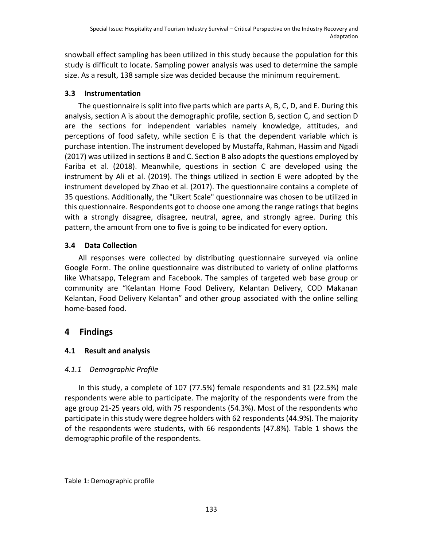snowball effect sampling has been utilized in this study because the population for this study is difficult to locate. Sampling power analysis was used to determine the sample size. As a result, 138 sample size was decided because the minimum requirement.

## **3.3 Instrumentation**

The questionnaire is split into five parts which are parts A, B, C, D, and E. During this analysis, section A is about the demographic profile, section B, section C, and section D are the sections for independent variables namely knowledge, attitudes, and perceptions of food safety, while section E is that the dependent variable which is purchase intention. The instrument developed by Mustaffa, Rahman, Hassim and Ngadi (2017) was utilized in sections B and C. Section B also adopts the questions employed by Fariba et al. (2018). Meanwhile, questions in section C are developed using the instrument by Ali et al. (2019). The things utilized in section E were adopted by the instrument developed by Zhao et al. (2017). The questionnaire contains a complete of 35 questions. Additionally, the "Likert Scale" questionnaire was chosen to be utilized in this questionnaire. Respondents got to choose one among the range ratings that begins with a strongly disagree, disagree, neutral, agree, and strongly agree. During this pattern, the amount from one to five is going to be indicated for every option.

# **3.4 Data Collection**

All responses were collected by distributing questionnaire surveyed via online Google Form. The online questionnaire was distributed to variety of online platforms like Whatsapp, Telegram and Facebook. The samples of targeted web base group or community are "Kelantan Home Food Delivery, Kelantan Delivery, COD Makanan Kelantan, Food Delivery Kelantan" and other group associated with the online selling home-based food.

# **4 Findings**

# **4.1 Result and analysis**

# *4.1.1 Demographic Profile*

In this study, a complete of 107 (77.5%) female respondents and 31 (22.5%) male respondents were able to participate. The majority of the respondents were from the age group 21-25 years old, with 75 respondents (54.3%). Most of the respondents who participate in this study were degree holders with 62 respondents (44.9%). The majority of the respondents were students, with 66 respondents (47.8%). Table 1 shows the demographic profile of the respondents.

## Table 1: Demographic profile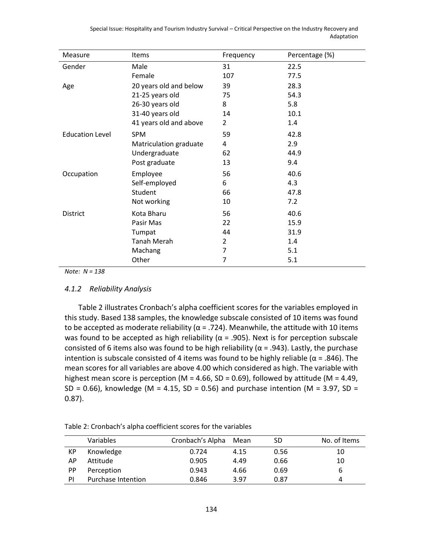| Measure                | <b>Items</b>           | Frequency | Percentage (%) |  |
|------------------------|------------------------|-----------|----------------|--|
| Gender                 | Male                   | 31        | 22.5           |  |
|                        | Female                 | 107       | 77.5           |  |
| Age                    | 20 years old and below | 39        | 28.3           |  |
|                        | 21-25 years old        | 75        | 54.3           |  |
|                        | 26-30 years old        | 8         | 5.8            |  |
|                        | 31-40 years old        | 14        | 10.1           |  |
|                        | 41 years old and above | 2         | 1.4            |  |
| <b>Education Level</b> | <b>SPM</b>             | 59        | 42.8           |  |
|                        | Matriculation graduate | 4         | 2.9            |  |
|                        | Undergraduate          | 62        | 44.9           |  |
|                        | Post graduate          | 13        | 9.4            |  |
| Occupation             | Employee               | 56        | 40.6           |  |
|                        | Self-employed          | 6         | 4.3            |  |
|                        | Student                | 66        | 47.8           |  |
|                        | Not working            | 10        | 7.2            |  |
| District               | Kota Bharu             | 56        | 40.6           |  |

Pasir Mas 22 15.9 Tumpat 44 31.9 Tanah Merah 2 1.4 Machang 7 5.1 Other 7 5.1

Special Issue: Hospitality and Tourism Industry Survival – Critical Perspective on the Industry Recovery and Adaptation

*Note: N = 138*

#### *4.1.2 Reliability Analysis*

Table 2 illustrates Cronbach's alpha coefficient scores for the variables employed in this study. Based 138 samples, the knowledge subscale consisted of 10 items was found to be accepted as moderate reliability ( $\alpha$  = .724). Meanwhile, the attitude with 10 items was found to be accepted as high reliability ( $\alpha$  = .905). Next is for perception subscale consisted of 6 items also was found to be high reliability ( $\alpha$  = .943). Lastly, the purchase intention is subscale consisted of 4 items was found to be highly reliable ( $\alpha$  = .846). The mean scores for all variables are above 4.00 which considered as high. The variable with highest mean score is perception (M = 4.66, SD = 0.69), followed by attitude (M = 4.49, SD = 0.66), knowledge (M = 4.15, SD = 0.56) and purchase intention (M = 3.97, SD = 0.87).

|    | Variables          | Cronbach's Alpha | Mean | SD   | No. of Items |
|----|--------------------|------------------|------|------|--------------|
| КP | Knowledge          | 0.724            | 4.15 | 0.56 | 10           |
| ΑP | Attitude           | 0.905            | 4.49 | 0.66 | 10           |
| PP | Perception         | 0.943            | 4.66 | 0.69 | 6            |
| ΡI | Purchase Intention | 0.846            | 3.97 | 0.87 | 4            |

Table 2: Cronbach's alpha coefficient scores for the variables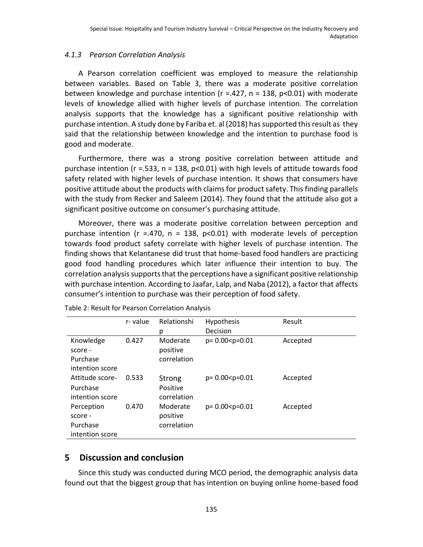## *4.1.3 Pearson Correlation Analysis*

A Pearson correlation coefficient was employed to measure the relationship between variables. Based on Table 3, there was a moderate positive correlation between knowledge and purchase intention ( $r = 0.427$ ,  $n = 138$ ,  $p < 0.01$ ) with moderate levels of knowledge allied with higher levels of purchase intention. The correlation analysis supports that the knowledge has a significant positive relationship with purchase intention. A study done by Fariba et. al (2018) has supported this result as they said that the relationship between knowledge and the intention to purchase food is good and moderate.

Furthermore, there was a strong positive correlation between attitude and purchase intention ( $r = 0.533$ ,  $n = 138$ ,  $p < 0.01$ ) with high levels of attitude towards food safety related with higher levels of purchase intention. It shows that consumers have positive attitude about the products with claims for product safety. This finding parallels with the study from Recker and Saleem (2014). They found that the attitude also got a significant positive outcome on consumer's purchasing attitude.

Moreover, there was a moderate positive correlation between perception and purchase intention ( $r = .470$ ,  $n = 138$ ,  $p < 0.01$ ) with moderate levels of perception towards food product safety correlate with higher levels of purchase intention. The finding shows that Kelantanese did trust that home-based food handlers are practicing good food handling procedures which later influence their intention to buy. The correlation analysis supports that the perceptions have a significant positive relationship with purchase intention. According to Jaafar, Lalp, and Naba (2012), a factor that affects consumer's intention to purchase was their perception of food safety.

|                 | r-value | Relationshi | Hypothesis            | Result   |
|-----------------|---------|-------------|-----------------------|----------|
|                 |         | р           | Decision              |          |
| Knowledge       | 0.427   | Moderate    | $p = 0.00 < p = 0.01$ | Accepted |
| score -         |         | positive    |                       |          |
| Purchase        |         | correlation |                       |          |
| intention score |         |             |                       |          |
| Attitude score- | 0.533   | Strong      | $p = 0.00 < p = 0.01$ | Accepted |
| Purchase        |         | Positive    |                       |          |
| intention score |         | correlation |                       |          |
| Perception      | 0.470   | Moderate    | $p = 0.00 < p = 0.01$ | Accepted |
| score -         |         | positive    |                       |          |
| Purchase        |         | correlation |                       |          |
| intention score |         |             |                       |          |
|                 |         |             |                       |          |

Table 2: Result for Pearson Correlation Analysis

# **5 Discussion and conclusion**

Since this study was conducted during MCO period, the demographic analysis data found out that the biggest group that has intention on buying online home-based food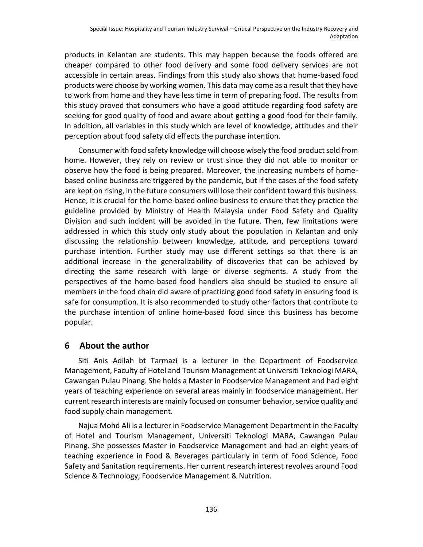products in Kelantan are students. This may happen because the foods offered are cheaper compared to other food delivery and some food delivery services are not accessible in certain areas. Findings from this study also shows that home-based food products were choose by working women. This data may come as a result that they have to work from home and they have less time in term of preparing food. The results from this study proved that consumers who have a good attitude regarding food safety are seeking for good quality of food and aware about getting a good food for their family. In addition, all variables in this study which are level of knowledge, attitudes and their perception about food safety did effects the purchase intention.

Consumer with food safety knowledge will choose wisely the food product sold from home. However, they rely on review or trust since they did not able to monitor or observe how the food is being prepared. Moreover, the increasing numbers of homebased online business are triggered by the pandemic, but if the cases of the food safety are kept on rising, in the future consumers will lose their confident toward this business. Hence, it is crucial for the home-based online business to ensure that they practice the guideline provided by Ministry of Health Malaysia under Food Safety and Quality Division and such incident will be avoided in the future. Then, few limitations were addressed in which this study only study about the population in Kelantan and only discussing the relationship between knowledge, attitude, and perceptions toward purchase intention. Further study may use different settings so that there is an additional increase in the generalizability of discoveries that can be achieved by directing the same research with large or diverse segments. A study from the perspectives of the home-based food handlers also should be studied to ensure all members in the food chain did aware of practicing good food safety in ensuring food is safe for consumption. It is also recommended to study other factors that contribute to the purchase intention of online home-based food since this business has become popular.

# **6 About the author**

Siti Anis Adilah bt Tarmazi is a lecturer in the Department of Foodservice Management, Faculty of Hotel and Tourism Management at Universiti Teknologi MARA, Cawangan Pulau Pinang. She holds a Master in Foodservice Management and had eight years of teaching experience on several areas mainly in foodservice management. Her current research interests are mainly focused on consumer behavior, service quality and food supply chain management.

Najua Mohd Ali is a lecturer in Foodservice Management Department in the Faculty of Hotel and Tourism Management, Universiti Teknologi MARA, Cawangan Pulau Pinang. She possesses Master in Foodservice Management and had an eight years of teaching experience in Food & Beverages particularly in term of Food Science, Food Safety and Sanitation requirements. Her current research interest revolves around Food Science & Technology, Foodservice Management & Nutrition.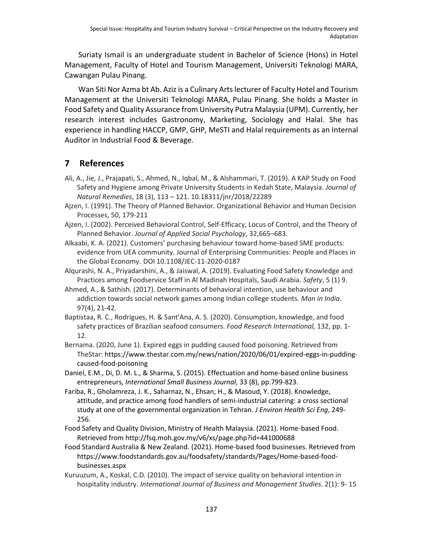Suriaty Ismail is an undergraduate student in Bachelor of Science (Hons) in Hotel Management, Faculty of Hotel and Tourism Management, Universiti Teknologi MARA, Cawangan Pulau Pinang.

Wan Siti Nor Azma bt Ab. Aziz is a Culinary Arts lecturer of Faculty Hotel and Tourism Management at the Universiti Teknologi MARA, Pulau Pinang. She holds a Master in Food Safety and Quality Assurance from University Putra Malaysia (UPM). Currently, her research interest includes Gastronomy, Marketing, Sociology and Halal. She has experience in handling HACCP, GMP, GHP, MeSTI and Halal requirements as an Internal Auditor in Industrial Food & Beverage.

# **7 References**

- Ali, A., Jie, J., Prajapati, S., Ahmed, N., Iqbal, M., & Alshammari, T. (2019). A KAP Study on Food Safety and Hygiene among Private University Students in Kedah State, Malaysia. *Journal of Natural Remedies*, 18 (3), 113 – 121. 10.18311/jnr/2018/22289
- Ajzen, I. (1991). The Theory of Planned Behavior. Organizational Behavior and Human Decision Processes, 50, 179-211
- Ajzen, I. (2002). Perceived Behavioral Control, Self-Efficacy, Locus of Control, and the Theory of Planned Behavior. *Journal of Applied Social Psychology*, 32,665–683.
- Alkaabi, K. A. (2021). Customers' purchasing behaviour toward home-based SME products: evidence from UEA community. Journal of Enterprising Communities: People and Places in the Global Economy. DOI 10.1108/JEC-11-2020-0187
- Alqurashi, N. A., Priyadarshini, A., & Jaiswal, A. (2019). Evaluating Food Safety Knowledge and Practices among Foodservice Staff in Al Madinah Hospitals, Saudi Arabia. *Safety*, 5 (1) 9.
- Ahmed, A., & Sathish. (2017). Determinants of behavioral intention, use behaviour and addiction towards social network games among Indian college students. *Man in India*. 97(4), 21-42.
- Baptistaa, R. C., Rodrigues, H. & Sant'Ana, A. S. (2020). Consumption, knowledge, and food safety practices of Brazilian seafood consumers. *Food Research International,* 132, pp. 1- 12.
- Bernama. (2020, June 1). Expired eggs in pudding caused food poisoning. Retrieved from TheStar[: https://www.thestar.com.my/news/nation/2020/06/01/expired-eggs-in-pudding](https://www.thestar.com.my/news/nation/2020/06/01/expired-eggs-in-pudding-caused-food-poisoning)[caused-food-poisoning](https://www.thestar.com.my/news/nation/2020/06/01/expired-eggs-in-pudding-caused-food-poisoning)
- Daniel, E.M., Di, D. M. L., & Sharma, S. (2015). Effectuation and home-based online business entrepreneurs, *International Small Business Journal*, 33 (8), pp.799-823.
- Fariba, R., Gholamreza, J. K., Saharnaz, N., Ehsan, H., & Masoud, Y. (2018). Knowledge, attitude, and practice among food handlers of semi-industrial catering: a cross sectional study at one of the governmental organization in Tehran. *J Environ Health Sci Eng*, 249- 256.
- Food Safety and Quality Division, Ministry of Health Malaysia. (2021). Home-based Food. Retrieved from http://fsq.moh.gov.my/v6/xs/page.php?id=441000688
- Food Standard Australia & New Zealand. (2021). Home-based food businesses. Retrieved from https://www.foodstandards.gov.au/foodsafety/standards/Pages/Home-based-foodbusinesses.aspx
- Kuruuzum, A., Koskal, C.D. (2010). The impact of service quality on behavioral intention in hospitality industry. *International Journal of Business and Management Studies*. 2(1): 9- 15